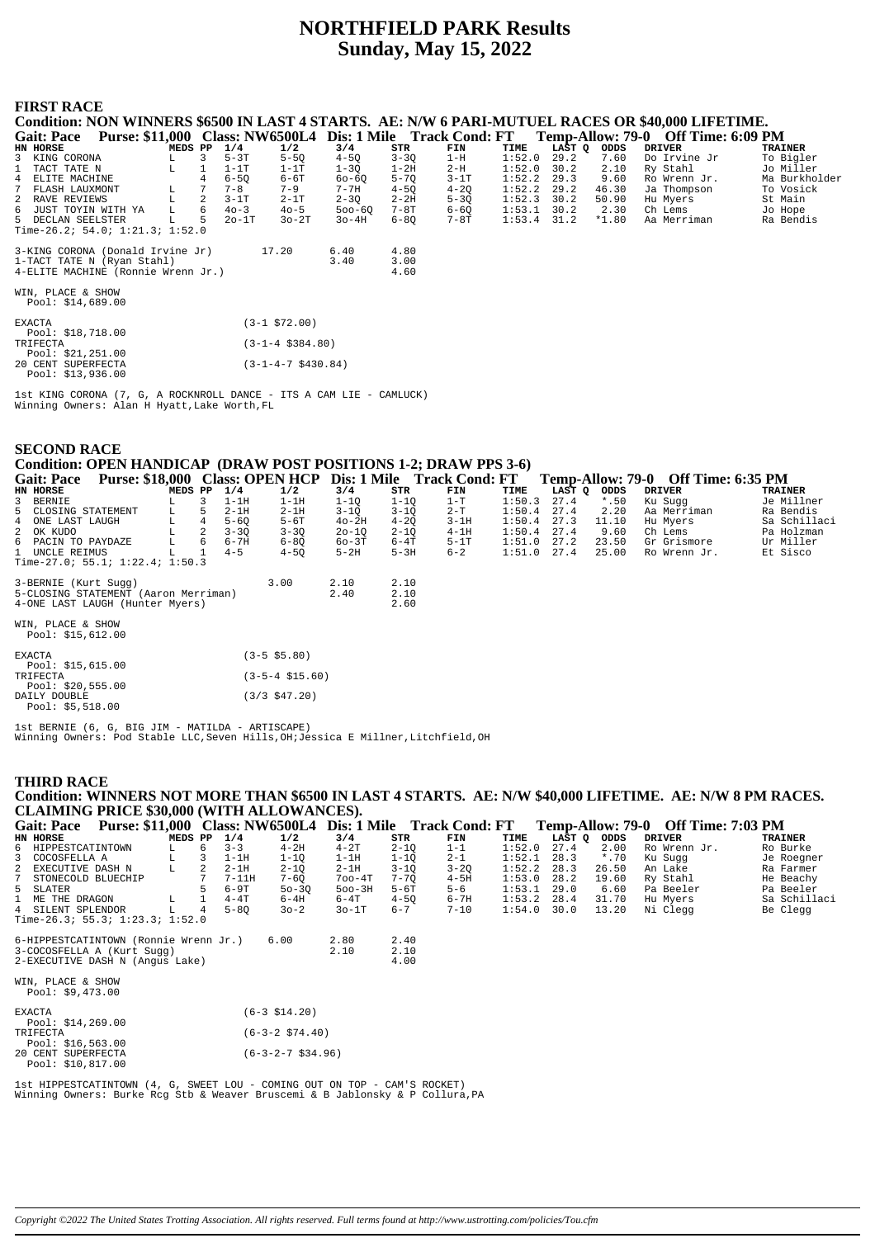# **NORTHFIELD PARK Results Sunday, May 15, 2022**

### **FIRST RACE**

|   | Condition: NON WINNERS \$6500 IN LAST 4 STARTS. AE: N/W 6 PARI-MUTUEL RACES OR \$40,000 LIFETIME. |         |                |            |          |            |          |          |        |        |         |                                    |                |
|---|---------------------------------------------------------------------------------------------------|---------|----------------|------------|----------|------------|----------|----------|--------|--------|---------|------------------------------------|----------------|
|   | Purse: \$11,000 Class: NW6500L4 Dis: 1 Mile Track Cond: FT<br><b>Gait: Pace</b>                   |         |                |            |          |            |          |          |        |        |         | Temp-Allow: 79-0 Off Time: 6:09 PM |                |
|   | HN HORSE                                                                                          | MEDS PP |                | 1/4        | 1/2      | 3/4        | STR      | FIN      | TIME   | LAST O | ODDS    | <b>DRIVER</b>                      | <b>TRAINER</b> |
|   | 3 KING CORONA                                                                                     |         |                | $5-3T$     | $5 - 50$ | $4 - 50$   | $3 - 30$ | $1-H$    | 1:52.0 | 29.2   | 7.60    | Do Irvine Jr                       | To Bigler      |
|   | 1 TACT TATE N                                                                                     |         |                | $1-1T$     | $1-1T$   | $1 - 3Q$   | $1-2H$   | $2-H$    | 1:52.0 | 30.2   | 2.10    | Ry Stahl                           | Jo Miller      |
|   | 4 ELITE MACHINE                                                                                   |         |                | $6 - 50$   | $6 - 6T$ | $60 - 60$  | $5 - 70$ | $3-1T$   | 1:52.2 | 29.3   | 9.60    | Ro Wrenn Jr.                       | Ma Burkholder  |
| 7 | FLASH LAUXMONT                                                                                    | L.      |                | $7 - 8$    | $7 - 9$  | $7 - 7H$   | $4 - 50$ | $4 - 20$ | 1:52.2 | 29.2   | 46.30   | Ja Thompson                        | To Vosick      |
|   | 2 RAVE REVIEWS                                                                                    |         | $\overline{2}$ | $3-1T$     | $2-1T$   | $2 - 30$   | $2 - 2H$ | $5 - 30$ | 1:52.3 | 30.2   | 50.90   | Hu Myers                           | St Main        |
|   | 6 JUST TOYIN WITH YA                                                                              | L       | 6              | $40 - 3$   | $40 - 5$ | $500 - 60$ | 7-8T     | $6 - 60$ | 1:53.1 | 30.2   | 2.30    | Ch Lems                            | Jo Hope        |
|   | 5 DECLAN SEELSTER                                                                                 | T.      | 5              | $20 - 1$ T | $30-2T$  | $3o-4H$    | $6 - 80$ | 7-8T     | 1:53.4 | 31.2   | $*1.80$ | Aa Merriman                        | Ra Bendis      |
|   | Time-26.2; 54.0; $1:21.3$ ; $1:52.0$                                                              |         |                |            |          |            |          |          |        |        |         |                                    |                |
|   | 3-KING CORONA (Donald Irvine Jr)                                                                  |         |                |            | 17.20    | 6.40       | 4.80     |          |        |        |         |                                    |                |
|   | 1-TACT TATE N (Ryan Stahl)                                                                        |         |                |            |          | 3.40       | 3.00     |          |        |        |         |                                    |                |
|   | 4-ELITE MACHINE (Ronnie Wrenn Jr.)                                                                |         |                |            |          |            | 4.60     |          |        |        |         |                                    |                |
|   | WIN, PLACE & SHOW<br>Pool: \$14,689.00                                                            |         |                |            |          |            |          |          |        |        |         |                                    |                |

| <b>EXACTA</b> |                    | $(3-1 \; $72.00)$           |
|---------------|--------------------|-----------------------------|
|               | Pool: $$18,718.00$ |                             |
| TRIFECTA      |                    | $(3-1-4 \text{ } $384.80)$  |
|               | Pool: $$21,251.00$ |                             |
|               | 20 CENT SUPERFECTA | $(3-1-4-7 \text{ }5430.84)$ |
|               | Pool: $$13,936.00$ |                             |

1st KING CORONA (7, G, A ROCKNROLL DANCE - ITS A CAM LIE - CAMLUCK) Winning Owners: Alan H Hyatt,Lake Worth,FL

| <b>SECOND RACE</b>                                                    |                      |           |          |         |        |        |         |                                    |                |
|-----------------------------------------------------------------------|----------------------|-----------|----------|---------|--------|--------|---------|------------------------------------|----------------|
| Condition: OPEN HANDICAP (DRAW POST POSITIONS 1-2; DRAW PPS 3-6)      |                      |           |          |         |        |        |         |                                    |                |
| Gait: Pace Purse: \$18,000 Class: OPEN HCP Dis: 1 Mile Track Cond: FT |                      |           |          |         |        |        |         | Temp-Allow: 79-0 Off Time: 6:35 PM |                |
| HN HORSE<br>MEDS PP                                                   | 1/4<br>1/2           | 3/4       | STR      | FIN     | TIME   | LAST O | ODDS    | <b>DRIVER</b>                      | <b>TRAINER</b> |
| 3<br>3 BERNIE                                                         | $1-1H$<br>$1-1H$     | $1-1Q$    | $1 - 1Q$ | $1-T$   | 1:50.3 | 27.4   | $*$ .50 | Ku Sugg                            | Je Millner     |
| 5 CLOSING STATEMENT<br>5                                              | $2-1H$<br>$2-1H$     | $3-1Q$    | $3-1Q$   | $2 - T$ | 1:50.4 | 27.4   | 2.20    | Aa Merriman                        | Ra Bendis      |
| $\overline{4}$<br>4 ONE LAST LAUGH<br>L                               | $5-6T$<br>$5 - 60$   | $40-2H$   | $4 - 20$ | $3-1H$  | 1:50.4 | 27.3   | 11.10   | Hu Myers                           | Sa Schillaci   |
| 2<br>2 OK KUDO                                                        | $3 - 3Q$<br>$3 - 3Q$ | $20 - 1Q$ | $2 - 1Q$ | $4-1H$  | 1:50.4 | 27.4   | 9.60    | Ch Lems                            | Pa Holzman     |
| 6<br>L<br>6 PACIN TO PAYDAZE                                          | $6 - 7H$<br>$6 - 80$ | 60-3T     | 6-4T     | $5-1T$  | 1:51.0 | 27.2   | 23.50   | Gr Grismore                        | Ur Miller      |
| 1 UNCLE REIMUS                                                        | $4 - 5$<br>$4 - 50$  | $5-2H$    | $5-3H$   | $6 - 2$ | 1:51.0 | 27.4   | 25.00   | Ro Wrenn Jr.                       | Et Sisco       |
| Time-27.0; 55.1; $1:22.4$ ; $1:50.3$                                  |                      |           |          |         |        |        |         |                                    |                |
| 3-BERNIE (Kurt Sugg)                                                  | 3.00                 | 2.10      | 2.10     |         |        |        |         |                                    |                |
| 5-CLOSING STATEMENT (Aaron Merriman)                                  |                      | 2.40      | 2.10     |         |        |        |         |                                    |                |
| 4-ONE LAST LAUGH (Hunter Myers)                                       |                      |           | 2.60     |         |        |        |         |                                    |                |
|                                                                       |                      |           |          |         |        |        |         |                                    |                |
| WIN, PLACE & SHOW                                                     |                      |           |          |         |        |        |         |                                    |                |
| Pool: $$15,612.00$                                                    |                      |           |          |         |        |        |         |                                    |                |
| <b>EXACTA</b>                                                         | $(3-5 \; $5.80)$     |           |          |         |        |        |         |                                    |                |
| Pool: $$15,615.00$                                                    |                      |           |          |         |        |        |         |                                    |                |
| TRIFECTA                                                              | $(3-5-4 \; $15.60)$  |           |          |         |        |        |         |                                    |                |
| Pool: $$20,555.00$                                                    |                      |           |          |         |        |        |         |                                    |                |
| DAILY DOUBLE<br>Pool: $$5,518.00$                                     | $(3/3 \; $47.20)$    |           |          |         |        |        |         |                                    |                |

1st BERNIE (6, G, BIG JIM - MATILDA - ARTISCAPE) Winning Owners: Pod Stable LLC,Seven Hills,OH;Jessica E Millner,Litchfield,OH

#### **THIRD RACE**

**Condition: WINNERS NOT MORE THAN \$6500 IN LAST 4 STARTS. AE: N/W \$40,000 LIFETIME. AE: N/W 8 PM RACES. CLAIMING PRICE \$30,000 (WITH ALLOWANCES).**

| Gait: Pace Purse: \$11,000 Class: NW6500L4 Dis: 1 Mile Track Cond: FT |         |              |          |                        |            |          |          |        |        |         | Temp-Allow: 79-0 Off Time: 7:03 PM |                |
|-----------------------------------------------------------------------|---------|--------------|----------|------------------------|------------|----------|----------|--------|--------|---------|------------------------------------|----------------|
| HN HORSE                                                              | MEDS PP |              | 1/4      | 1/2                    | 3/4        | STR      | FIN      | TIME   | LAST Q | ODDS    | <b>DRIVER</b>                      | <b>TRAINER</b> |
| 6 HIPPESTCATINTOWN                                                    | L       | 6            | $3 - 3$  | $4-2H$                 | $4-2T$     | $2 - 1Q$ | $1 - 1$  | 1:52.0 | 27.4   | 2.00    | Ro Wrenn Jr.                       | Ro Burke       |
| 3<br>COCOSFELLA A                                                     |         | 3            | $1-1H$   | $1 - 10$               | $1-1H$     | $1 - 10$ | $2 - 1$  | 1:52.1 | 28.3   | $*$ .70 | Ku Suqq                            | Je Roegner     |
| 2 EXECUTIVE DASH N                                                    |         | 2            | $2-1H$   | $2 - 10$               | $2-1H$     | $3 - 10$ | $3 - 20$ | 1:52.2 | 28.3   | 26.50   | An Lake                            | Ra Farmer      |
| 7<br>STONECOLD BLUECHIP                                               |         |              | $7-11H$  | $7 - 6Q$               | $700 - 4T$ | $7 - 70$ | $4-5H$   | 1:53.0 | 28.2   | 19.60   | Ry Stahl                           | He Beachy      |
| 5 SLATER                                                              |         |              | $6-9T$   | $50-3Q$                | $500 - 3H$ | $5-6T$   | $5 - 6$  | 1:53.1 | 29.0   | 6.60    | Pa Beeler                          | Pa Beeler      |
| 1 ME THE DRAGON                                                       | L       | $\mathbf{1}$ | $4-4T$   | $6-4H$                 | $6-4T$     | $4 - 50$ | $6 - 7H$ | 1:53.2 | 28.4   | 31.70   | Hu Myers                           | Sa Schillaci   |
| 4 SILENT SPLENDOR                                                     |         | 4            | $5 - 80$ | $30 - 2$               | $30-1T$    | $6 - 7$  | $7 - 10$ | 1:54.0 | 30.0   | 13.20   | Ni Clegg                           | Be Clegg       |
| Time-26.3; 55.3; $1:23.3$ ; $1:52.0$                                  |         |              |          |                        |            |          |          |        |        |         |                                    |                |
|                                                                       |         |              |          |                        |            |          |          |        |        |         |                                    |                |
| 6-HIPPESTCATINTOWN (Ronnie Wrenn Jr.)                                 |         |              |          | 6.00                   | 2.80       | 2.40     |          |        |        |         |                                    |                |
| 3-COCOSFELLA A (Kurt Sugg)                                            |         |              |          |                        | 2.10       | 2.10     |          |        |        |         |                                    |                |
| 2-EXECUTIVE DASH N (Angus Lake)                                       |         |              |          |                        |            | 4.00     |          |        |        |         |                                    |                |
|                                                                       |         |              |          |                        |            |          |          |        |        |         |                                    |                |
| WIN, PLACE & SHOW                                                     |         |              |          |                        |            |          |          |        |        |         |                                    |                |
| Pool: $$9,473.00$                                                     |         |              |          |                        |            |          |          |        |        |         |                                    |                |
|                                                                       |         |              |          |                        |            |          |          |        |        |         |                                    |                |
| <b>EXACTA</b>                                                         |         |              |          | $(6-3 \; $14.20)$      |            |          |          |        |        |         |                                    |                |
| Pool: $$14,269.00$                                                    |         |              |          |                        |            |          |          |        |        |         |                                    |                |
| TRIFECTA                                                              |         |              |          | $(6-3-2 \cdot $74.40)$ |            |          |          |        |        |         |                                    |                |
| Pool: $$16,563.00$                                                    |         |              |          |                        |            |          |          |        |        |         |                                    |                |
| 20 CENT SUPERFECTA                                                    |         |              |          | $(6-3-2-7$ \$34.96)    |            |          |          |        |        |         |                                    |                |
| Pool: \$10,817.00                                                     |         |              |          |                        |            |          |          |        |        |         |                                    |                |

1st HIPPESTCATINTOWN (4, G, SWEET LOU - COMING OUT ON TOP - CAM'S ROCKET) Winning Owners: Burke Rcg Stb & Weaver Bruscemi & B Jablonsky & P Collura,PA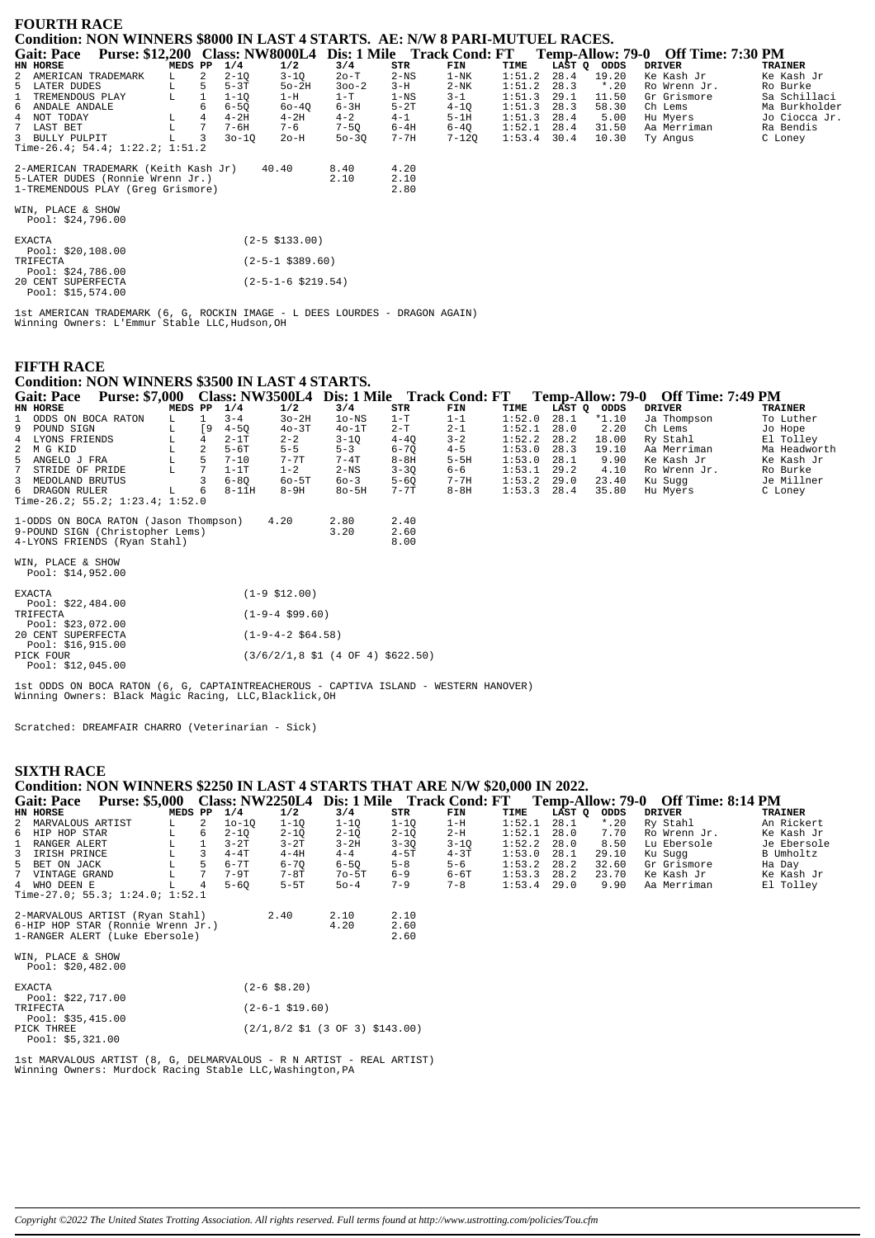| <b>FOURTH RACE</b><br>Condition: NON WINNERS \$8000 IN LAST 4 STARTS. AE: N/W 8 PARI-MUTUEL RACES. |             |                |           |                         |           |          |                                                            |        |      |             |                                    |                |
|----------------------------------------------------------------------------------------------------|-------------|----------------|-----------|-------------------------|-----------|----------|------------------------------------------------------------|--------|------|-------------|------------------------------------|----------------|
| <b>Gait: Pace</b>                                                                                  |             |                |           |                         |           |          | Purse: \$12,200 Class: NW8000L4 Dis: 1 Mile Track Cond: FT |        |      |             | Temp-Allow: 79-0 Off Time: 7:30 PM |                |
| HN HORSE                                                                                           | MEDS PP     |                | 1/4       | 1/2                     | 3/4       | STR      | FIN                                                        | TIME   |      | LAST Q ODDS | <b>DRIVER</b>                      | <b>TRAINER</b> |
| 2 AMERICAN TRADEMARK                                                                               | L.          | $\overline{a}$ | $2 - 10$  | $3 - 1Q$                | $2o-T$    | $2-NS$   | $1 - NK$                                                   | 1:51.2 | 28.4 | 19.20       | Ke Kash Jr                         | Ke Kash Jr     |
| 5 LATER DUDES                                                                                      | L           | 5              | $5-3T$    | $50-2H$                 | $300 - 2$ | $3-H$    | $2-NK$                                                     | 1:51.2 | 28.3 | $*$ .20     | Ro Wrenn Jr.                       | Ro Burke       |
| TREMENDOUS PLAY                                                                                    | $\mathbb L$ |                | $1 - 10$  | $1-H$                   | $1-T$     | $1 - NS$ | $3 - 1$                                                    | 1:51.3 | 29.1 | 11.50       | Gr Grismore                        | Sa Schillaci   |
| 6 ANDALE ANDALE                                                                                    |             |                | $6 - 5Q$  | $60 - 40$               | $6-3H$    | $5-2T$   | $4-1Q$                                                     | 1:51.3 | 28.3 | 58.30       | Ch Lems                            | Ma Burkholder  |
| 4 NOT TODAY                                                                                        | L           |                | $4-2H$    | $4-2H$                  | $4 - 2$   | $4 - 1$  | $5-1H$                                                     | 1:51.3 | 28.4 | 5.00        | Hu Myers                           | Jo Ciocca Jr.  |
| $7^{\circ}$<br>LAST BET                                                                            | L           |                | $7-6H$    | $7 - 6$                 | $7-5Q$    | 6-4H     | $6-4Q$                                                     | 1:52.1 | 28.4 | 31.50       | Aa Merriman                        | Ra Bendis      |
| 3 BULLY PULPIT                                                                                     |             |                | $30 - 10$ | $2o-H$                  | $50 - 30$ | 7-7H     | 7-120                                                      | 1:53.4 | 30.4 | 10.30       | Ty Angus                           | C Loney        |
| Time-26.4; 54.4; $1:22.2$ ; $1:51.2$                                                               |             |                |           |                         |           |          |                                                            |        |      |             |                                    |                |
| 2-AMERICAN TRADEMARK (Keith Kash Jr)                                                               |             |                |           | 40.40                   | 8.40      | 4.20     |                                                            |        |      |             |                                    |                |
| 5-LATER DUDES (Ronnie Wrenn Jr.)                                                                   |             |                |           |                         | 2.10      | 2.10     |                                                            |        |      |             |                                    |                |
| 1-TREMENDOUS PLAY (Greq Grismore)                                                                  |             |                |           |                         |           | 2.80     |                                                            |        |      |             |                                    |                |
| WIN, PLACE & SHOW<br>Pool: \$24,796.00                                                             |             |                |           |                         |           |          |                                                            |        |      |             |                                    |                |
| <b>EXACTA</b><br>Pool: $$20,108.00$                                                                |             |                |           | $(2 - 5 \; $133.00)$    |           |          |                                                            |        |      |             |                                    |                |
| TRIFECTA<br>Pool: $$24,786.00$                                                                     |             |                |           | $(2 - 5 - 1 \ $389.60)$ |           |          |                                                            |        |      |             |                                    |                |
| 20 CENT SUPERFECTA<br>Pool: \$15,574.00                                                            |             |                |           | $(2-5-1-6 \ $219.54)$   |           |          |                                                            |        |      |             |                                    |                |

lst AMERICAN TRADEMARK (6, G, ROCKIN IMAGE - L DEES LOURDES - DRAGON AGAIN)<br>Winning Owners: L'Emmur Stable LLC,Hudson,OH

## **FIFTH RACE**

# **Condition: NON WINNERS \$3500 IN LAST 4 STARTS.**

| <b>Purse: \$7,000</b><br><b>Gait: Pace</b>                                                                                                                                                                                                                                                                             |         |     |           |          |               |               | Class: NW3500L4 Dis: 1 Mile Track Cond: FT |      |               |       | Temp-Allow: 79-0 Off Time: 7:49 PM |                |
|------------------------------------------------------------------------------------------------------------------------------------------------------------------------------------------------------------------------------------------------------------------------------------------------------------------------|---------|-----|-----------|----------|---------------|---------------|--------------------------------------------|------|---------------|-------|------------------------------------|----------------|
| HN HORSE                                                                                                                                                                                                                                                                                                               | MEDS PP |     | 1/4       | 1/2      | 3/4           | STR           | FIN                                        | TIME | LAST O ODDS   |       | DRIVER                             | <b>TRAINER</b> |
| 1 ODDS ON BOCA RATON                                                                                                                                                                                                                                                                                                   | L.      |     | $3 - 4$   | $3o-2H$  | $10-NS$       | $1-T$         | $1 - 1$                                    |      | $1:52.0$ 28.1 | *1.10 | Ja Thompson                        | To Luther      |
| 9 POUND SIGN                                                                                                                                                                                                                                                                                                           |         | I 9 | $4 - 50$  | $40-3T$  | $40-1T$       | $2 - T$       | $2 - 1$                                    |      | $1:52.1$ 28.0 | 2.20  | Ch Lems                            | Jo Hope        |
| 4 LYONS FRIENDS                                                                                                                                                                                                                                                                                                        |         | 4   | $2-1T$    | $2 - 2$  | $3 - 10$      | $4 - 40$      | $3 - 2$                                    |      | $1:52.2$ 28.2 | 18.00 | Ry Stahl                           | El Tolley      |
| 2 M G KID                                                                                                                                                                                                                                                                                                              |         |     | $5 - 6T$  | $5 - 5$  | $5 - 3$       | $6 - 70$      | $4 - 5$                                    |      | $1:53.0$ 28.3 | 19.10 | Aa Merriman                        | Ma Headworth   |
| 5 ANGELO J FRA                                                                                                                                                                                                                                                                                                         |         | 5   | $7 - 10$  | $7 - 7T$ | $7 - 4T$      | $8-8H$        | $5-5H$                                     |      | $1:53.0$ 28.1 | 9.90  | Ke Kash Jr                         | Ke Kash Jr     |
| 7 STRIDE OF PRIDE                                                                                                                                                                                                                                                                                                      |         |     | $1 - 1T$  | $1 - 2$  | $2-NS$        | $3 - 30$      | 6-6                                        |      | $1:53.1$ 29.2 | 4.10  | Ro Wrenn Jr.                       | Ro Burke       |
| 3 MEDOLAND BRUTUS                                                                                                                                                                                                                                                                                                      |         |     | $6 - 80$  | $60-5T$  | $60 - 3$      | $5 - 60$      | 7-7H                                       |      | $1:53.2$ 29.0 | 23.40 | Ku Suqq                            | Je Millner     |
| 6 DRAGON RULER                                                                                                                                                                                                                                                                                                         |         | 6   | $8 - 11H$ | $8-9H$   | $8o-5H$       | $7 - 7$ T     | 8-8H                                       |      | $1:53.3$ 28.4 | 35.80 | Hu Myers                           | C Loney        |
| Time-26.2; 55.2; 1:23.4; 1:52.0                                                                                                                                                                                                                                                                                        |         |     |           |          |               |               |                                            |      |               |       |                                    |                |
|                                                                                                                                                                                                                                                                                                                        |         |     |           |          |               |               |                                            |      |               |       |                                    |                |
| $1.0000 \, \text{O}$ $\frac{1}{2}$ $\frac{1}{2}$ $\frac{1}{2}$ $\frac{1}{2}$ $\frac{1}{2}$ $\frac{1}{2}$ $\frac{1}{2}$ $\frac{1}{2}$ $\frac{1}{2}$ $\frac{1}{2}$ $\frac{1}{2}$ $\frac{1}{2}$ $\frac{1}{2}$ $\frac{1}{2}$ $\frac{1}{2}$ $\frac{1}{2}$ $\frac{1}{2}$ $\frac{1}{2}$ $\frac{1}{2}$ $\frac{1}{2}$ $\frac{1$ |         |     |           |          | $\sim$ $\sim$ | $\sim$ $\sim$ |                                            |      |               |       |                                    |                |

| 1-UDDS ON BUCA RAION (URSOIL INOMPSON) 4.20<br>9-POUND SIGN (Christopher Lems)<br>4-LYONS FRIENDS (Ryan Stahl) | 4.0U<br>4. TU<br>3.20<br>2.60<br>8.00                                           |
|----------------------------------------------------------------------------------------------------------------|---------------------------------------------------------------------------------|
| WIN, PLACE & SHOW<br>Pool: $$14,952.00$                                                                        |                                                                                 |
| EXACTA                                                                                                         | $(1-9 \; $12.00)$                                                               |
| Pool: $$22,484.00$<br>TRIFECTA<br>Pool: \$23,072.00                                                            | $(1-9-4 \text{ }599.60)$                                                        |
| 20 CENT SUPERFECTA<br>Pool: $$16,915.00$                                                                       | $(1-9-4-2 \ $64.58)$                                                            |
| PICK FOUR<br>Pool: \$12.045.00                                                                                 | $(3/6/2/1, 8 \text{ } 51 \text{ } (4 \text{ } 0F \text{ } 4) \text{ } $622.50)$ |

1st ODDS ON BOCA RATON (6, G, CAPTAINTREACHEROUS - CAPTIVA ISLAND - WESTERN HANOVER)<br>Winning Owners: Black Magic Racing, LLC,Blacklick,OH

Scratched: DREAMFAIR CHARRO (Veterinarian - Sick)

### **SIXTH RACE**

| Condition: NON WINNERS \$2250 IN LAST 4 STARTS THAT ARE N/W \$20,000 IN 2022.                           |             |                         |          |                   |                                   |          |          |               |        |         |              |                |
|---------------------------------------------------------------------------------------------------------|-------------|-------------------------|----------|-------------------|-----------------------------------|----------|----------|---------------|--------|---------|--------------|----------------|
| Gait: Pace Purse: \$5,000 Class: NW2250L4 Dis: 1 Mile Track Cond: FT Temp-Allow: 79-0 Off Time: 8:14 PM |             |                         |          |                   |                                   |          |          |               |        |         |              |                |
| HN HORSE                                                                                                | MEDS PP     |                         | 1/4      | 1/2               | 3/4                               | STR      | FIN      | TIME          | LAST Q | ODDS    | DRIVER       | <b>TRAINER</b> |
| 2 MARVALOUS ARTIST                                                                                      | L.          | 2                       | $10-10$  | $1 - 10$          | $1-1Q$                            | $1 - 1Q$ | $1-H$    | 1:52.1        | 28.1   | $*$ .20 | Ry Stahl     | An Rickert     |
| 6 HIP HOP STAR                                                                                          | L           | 6                       | $2 - 1Q$ | $2 - 1Q$          | $2 - 1Q$                          | $2 - 1Q$ | 2-H      | 1:52.1        | 28.0   | 7.70    | Ro Wrenn Jr. | Ke Kash Jr     |
| 1 RANGER ALERT                                                                                          | L           | $\mathbf{1}$            | $3-2T$   | $3-2T$            | $3-2H$                            | $3 - 3Q$ | $3 - 1Q$ | 1:52.2        | 28.0   | 8.50    | Lu Ebersole  | Je Ebersole    |
| 3 IRISH PRINCE                                                                                          | $\mathbb L$ | $\overline{\mathbf{3}}$ | $4 - 4T$ | $4-4H$            | $4 - 4$                           | $4-5T$   | $4-3T$   | 1:53.0        | 28.1   | 29.10   | Ku Sugg      | B Umholtz      |
| 5 BET ON JACK                                                                                           | L           | 5                       | 6-7T     | $6 - 70$          | $6 - 50$                          | $5 - 8$  | $5 - 6$  | 1:53.2        | 28.2   | 32.60   | Gr Grismore  | Ha Day         |
| 7 VINTAGE GRAND                                                                                         | L           | $7\overline{ }$         | 7-9T     | 7-8T              | $70-5T$                           | $6 - 9$  | $6-6T$   | 1:53.3        | 28.2   | 23.70   | Ke Kash Jr   | Ke Kash Jr     |
| 4 WHO DEEN E                                                                                            | L           |                         | $5 - 60$ | $5-5T$            | $50 - 4$                          | $7 - 9$  | $7 - 8$  | $1:53.4$ 29.0 |        | 9.90    | Aa Merriman  | El Tolley      |
| Time-27.0; 55.3; 1:24.0; 1:52.1                                                                         |             |                         |          |                   |                                   |          |          |               |        |         |              |                |
| 2-MARVALOUS ARTIST (Ryan Stahl)                                                                         |             |                         |          | 2.40              | 2.10                              | 2.10     |          |               |        |         |              |                |
| 6-HIP HOP STAR (Ronnie Wrenn Jr.)                                                                       |             |                         |          |                   | 4.20                              | 2.60     |          |               |        |         |              |                |
| 1-RANGER ALERT (Luke Ebersole)                                                                          |             |                         |          |                   |                                   | 2.60     |          |               |        |         |              |                |
| WIN, PLACE & SHOW<br>Pool: \$20,482.00                                                                  |             |                         |          |                   |                                   |          |          |               |        |         |              |                |
| <b>EXACTA</b>                                                                                           |             |                         |          | $(2-6$ \$8.20)    |                                   |          |          |               |        |         |              |                |
| Pool: \$22,717.00                                                                                       |             |                         |          |                   |                                   |          |          |               |        |         |              |                |
| TRIFECTA                                                                                                |             |                         |          | $(2-6-1$ \$19.60) |                                   |          |          |               |        |         |              |                |
| Pool: \$35,415.00                                                                                       |             |                         |          |                   |                                   |          |          |               |        |         |              |                |
| PICK THREE                                                                                              |             |                         |          |                   | $(2/1,8/2$ \$1 (3 OF 3) \$143.00) |          |          |               |        |         |              |                |
| Pool: $$5,321.00$                                                                                       |             |                         |          |                   |                                   |          |          |               |        |         |              |                |

lst MARVALOUS ARTIST (8, G, DELMARVALOUS - R N ARTIST - REAL ARTIST)<br>Winning Owners: Murdock Racing Stable LLC,Washington,PA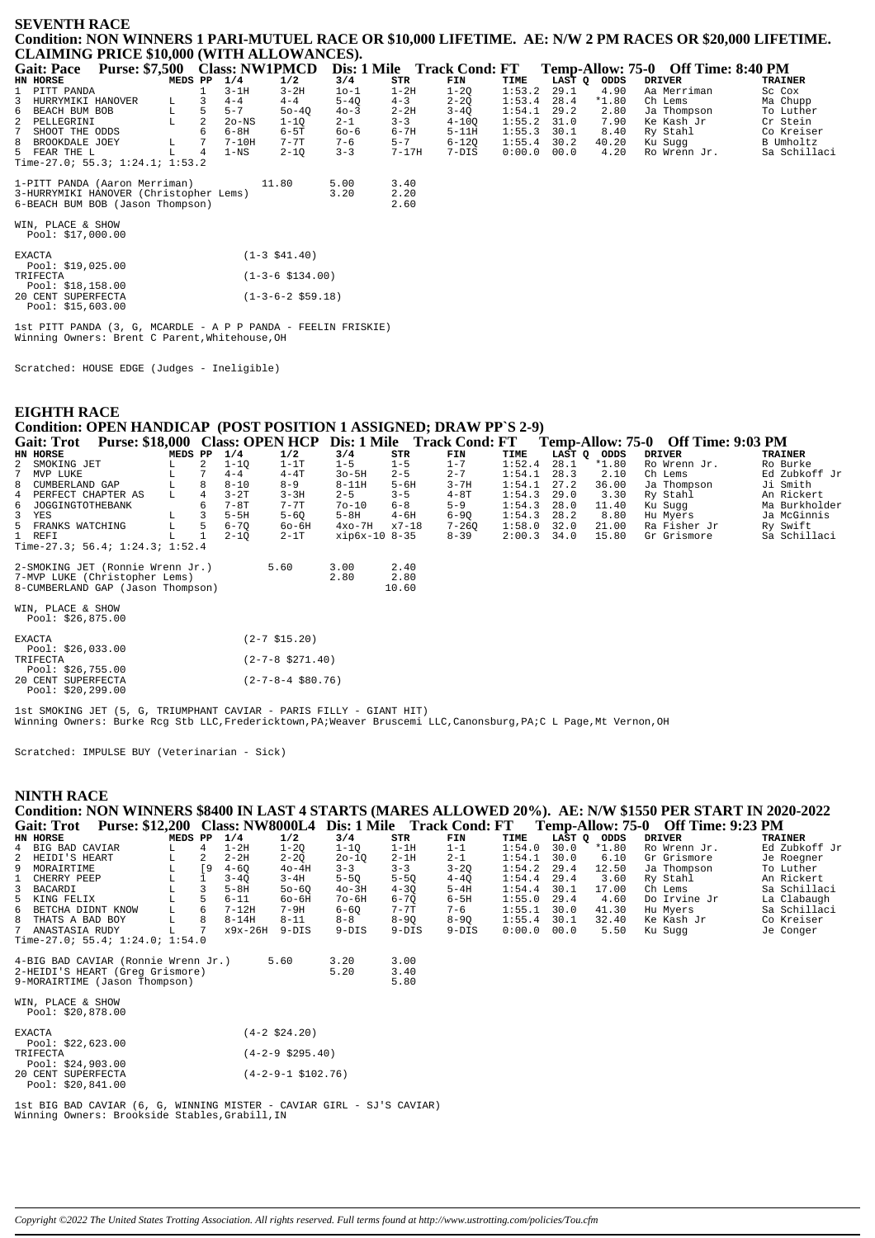#### **SEVENTH RACE Condition: NON WINNERS 1 PARI-MUTUEL RACE OR \$10,000 LIFETIME. AE: N/W 2 PM RACES OR \$20,000 LIFETIME. CLAIMING PRICE \$10,000 (WITH ALLOWANCES).**

| <b>Gait: Pace</b>                      | Purse: \$7,500 Class: NW1PMCD |         |    |          |           |          | Dis: 1 Mile | <b>Track Cond: FT</b> |        |               |         | Temp-Allow: 75-0 Off Time: 8:40 PM |                |
|----------------------------------------|-------------------------------|---------|----|----------|-----------|----------|-------------|-----------------------|--------|---------------|---------|------------------------------------|----------------|
| HN HORSE                               |                               | MEDS PP |    | 1/4      | 1/2       | 3/4      | STR         | FIN                   | TIME   | LAST O        | ODDS    | DRIVER                             | <b>TRAINER</b> |
| 1 PITT PANDA                           |                               |         |    | $3-1H$   | $3-2H$    | 10-1     | $1-2H$      | $1 - 20$              | 1:53.2 | 29.1          | 4.90    | Aa Merriman                        | Sc Cox         |
| 3 HURRYMIKI HANOVER                    |                               | L.      |    | $4 - 4$  | $4 - 4$   | $5 - 40$ | $4 - 3$     | $2 - 20$              | 1:53.4 | 28.4          | $*1.80$ | Ch Lems                            | Ma Chupp       |
| 6 BEACH BUM BOB                        |                               | L       | 5. | $5 - 7$  | $50 - 40$ | $40 - 3$ | $2 - 2H$    | $3 - 40$              | 1:54.1 | 29.2          | 2.80    | Ja Thompson                        | To Luther      |
| 2 PELLEGRINI                           |                               |         | 2  | $2o$ -NS | $1 - 10$  | $2 - 1$  | $3 - 3$     | $4 - 100$             | 1:55.2 | 31.0          | 7.90    | Ke Kash Jr                         | Cr Stein       |
| 7 SHOOT THE ODDS                       |                               |         | 6  | 6-8H     | $6-5T$    | 60-6     | 6-7H        | $5-11H$               |        | $1:55.3$ 30.1 | 8.40    | Ry Stahl                           | Co Kreiser     |
| 8 BROOKDALE JOEY                       |                               | L       |    | $7-10H$  | $7 - 7$ T | $7 - 6$  | $5 - 7$     | $6 - 120$             |        | $1:55.4$ 30.2 | 40.20   | Ku Suaa                            | B Umholtz      |
| 5 FEAR THE L                           |                               |         | 4  | $1 - NS$ | $2 - 10$  | $3 - 3$  | $7 - 17H$   | 7-DIS                 | 0:00.0 | 00.0          | 4.20    | Ro Wrenn Jr.                       | Sa Schillaci   |
| Time-27.0; 55.3; 1:24.1; 1:53.2        |                               |         |    |          |           |          |             |                       |        |               |         |                                    |                |
| 1-PITT PANDA (Aaron Merriman)          |                               |         |    |          | 11.80     | 5.00     | 3.40        |                       |        |               |         |                                    |                |
| 3-HURRYMIKI HANOVER (Christopher Lems) |                               |         |    |          |           | 3.20     | 2.20        |                       |        |               |         |                                    |                |
| 6-BEACH BUM BOB (Jason Thompson)       |                               |         |    |          |           |          | 2.60        |                       |        |               |         |                                    |                |

WIN, PLACE & SHOW Pool: \$17,000.00

| <b>EXACTA</b>      | $(1-3 \; $41.40)$          |
|--------------------|----------------------------|
| Pool: $$19,025.00$ |                            |
| TRIFECTA           | $(1-3-6 \text{ } $134.00)$ |
| Pool: \$18,158.00  |                            |
| 20 CENT SUPERFECTA | $(1-3-6-2 \text{ }559.18)$ |
| Pool: \$15,603.00  |                            |

1st PITT PANDA (3, G, MCARDLE - A P P PANDA - FEELIN FRISKIE) Winning Owners: Brent C Parent,Whitehouse,OH

Scratched: HOUSE EDGE (Judges - Ineligible)

# **EIGHTH RACE Condition: OPEN HANDICAP (POST POSITION 1 ASSIGNED; DRAW PP`S 2-9)**

|             | <b>Gait: Trot</b>                       | <b>Purse: \$18,000</b>              |         |                |          |                     |               |          | Class: OPEN HCP Dis: 1 Mile Track Cond: FT |        |             |         | Temp-Allow: 75-0 Off Time: 9:03 PM |                |  |
|-------------|-----------------------------------------|-------------------------------------|---------|----------------|----------|---------------------|---------------|----------|--------------------------------------------|--------|-------------|---------|------------------------------------|----------------|--|
|             | HN HORSE                                |                                     | MEDS PP |                | 1/4      | 1/2                 | 3/4           | STR      | FIN                                        | TIME   | LAST Q ODDS |         | <b>DRIVER</b>                      | <b>TRAINER</b> |  |
|             | 2 SMOKING JET                           |                                     | L       | $\overline{2}$ | $1 - 10$ | $1-1T$              | $1 - 5$       | $1 - 5$  | $1 - 7$                                    | 1:52.4 | 28.1        | $*1.80$ | Ro Wrenn Jr.                       | Ro Burke       |  |
| $7^{\circ}$ | MVP LUKE                                |                                     |         |                | $4 - 4$  | $4 - 4T$            | $30 - 5H$     | $2 - 5$  | $2 - 7$                                    | 1:54.1 | 28.3        | 2.10    | Ch Lems                            | Ed Zubkoff Jr  |  |
|             | 8 CUMBERLAND GAP                        |                                     | L       | 8              | $8 - 10$ | $8 - 9$             | $8 - 11H$     | $5 - 6H$ | $3 - 7H$                                   | 1:54.1 | 27.2        | 36.00   | Ja Thompson                        | Ji Smith       |  |
|             | 4 PERFECT CHAPTER AS                    |                                     | L       | 4              | $3-2T$   | $3 - 3H$            | $2 - 5$       | $3 - 5$  | $4-8T$                                     | 1:54.3 | 29.0        | 3.30    | Ry Stahl                           | An Rickert     |  |
|             | 6 JOGGINGTOTHEBANK                      |                                     |         | 6              | $7-8T$   | $7 - 7$ T           | $70 - 10$     | $6 - 8$  | $5 - 9$                                    | 1:54.3 | 28.0        | 11.40   | Ku Sugg                            | Ma Burkholder  |  |
|             | 3 YES                                   |                                     | L       |                | $5-5H$   | $5 - 60$            | $5-8H$        | $4 - 6H$ | $6 - 90$                                   | 1:54.3 | 28.2        | 8.80    | Hu Myers                           | Ja McGinnis    |  |
|             | 5 FRANKS WATCHING                       |                                     | L       | 5              | $6 - 70$ | 60-6H               | $4x0-7H$      | $x7-18$  | $7 - 260$                                  | 1:58.0 | 32.0        | 21.00   | Ra Fisher Jr                       | Ry Swift       |  |
|             | 1 REFI                                  |                                     | L       |                | $2 - 10$ | $2-1T$              | xip6x-10 8-35 |          | $8 - 39$                                   | 2:00.3 | 34.0        | 15.80   | Gr Grismore                        | Sa Schillaci   |  |
|             |                                         | Time-27.3; 56.4; $1:24.3;$ $1:52.4$ |         |                |          |                     |               |          |                                            |        |             |         |                                    |                |  |
|             |                                         | 2-SMOKING JET (Ronnie Wrenn Jr.)    |         |                |          | 5.60                | 3.00          | 2.40     |                                            |        |             |         |                                    |                |  |
|             |                                         | 7-MVP LUKE (Christopher Lems)       |         |                |          |                     | 2.80          | 2.80     |                                            |        |             |         |                                    |                |  |
|             |                                         | 8-CUMBERLAND GAP (Jason Thompson)   |         |                |          |                     |               | 10.60    |                                            |        |             |         |                                    |                |  |
|             | WIN, PLACE & SHOW<br>Pool: $$26,875.00$ |                                     |         |                |          |                     |               |          |                                            |        |             |         |                                    |                |  |
|             | <b>EXACTA</b><br>Pool: \$26,033.00      |                                     |         |                |          | $(2 - 7 \; $15.20)$ |               |          |                                            |        |             |         |                                    |                |  |

|          | ---- ---------      |                             |
|----------|---------------------|-----------------------------|
| TRIFECTA |                     | $(2 - 7 - 8 \cdot $271.40)$ |
|          | Pool: $$26,755.00$  |                             |
|          | 20 CENT SUPERFECTA  | $(2 - 7 - 8 - 4 \ $80.76)$  |
|          | Pool: $$20, 299.00$ |                             |

1st SMOKING JET (5, G, TRIUMPHANT CAVIAR - PARIS FILLY - GIANT HIT) Winning Owners: Burke Rcg Stb LLC,Fredericktown,PA;Weaver Bruscemi LLC,Canonsburg,PA;C L Page,Mt Vernon,OH

Scratched: IMPULSE BUY (Veterinarian - Sick)

#### **NINTH RACE**

|                   |                     |         |     |           |           |           |           |                                                            |        |        |         | Condition: NON WINNERS \$8400 IN LAST 4 STARTS (MARES ALLOWED 20%). AE: N/W \$1550 PER START IN 2020-2022 |                |
|-------------------|---------------------|---------|-----|-----------|-----------|-----------|-----------|------------------------------------------------------------|--------|--------|---------|-----------------------------------------------------------------------------------------------------------|----------------|
| <b>Gait: Trot</b> |                     |         |     |           |           |           |           | Purse: \$12,200 Class: NW8000L4 Dis: 1 Mile Track Cond: FT |        |        |         | Temp-Allow: 75-0 Off Time: 9:23 PM                                                                        |                |
| HN HORSE          |                     | MEDS PP |     | 1/4       | 1/2       | 3/4       | STR       | FIN                                                        | TIME   | LAST Q | ODDS    | DRIVER                                                                                                    | <b>TRAINER</b> |
| 4 BIG BAD CAVIAR  |                     | T.      |     | 1-2H      | $1 - 20$  | $1 - 10$  | $1-1H$    | $1 - 1$                                                    | 1:54.0 | 30.0   | $*1.80$ | Ro Wrenn Jr.                                                                                              | Ed Zubkoff Jr  |
| 2 HEIDI'S HEART   |                     |         |     | $2 - 2H$  | $2 - 20$  | $20 - 10$ | $2-1H$    | $2 - 1$                                                    | 1:54.1 | 30.0   | 6.10    | Gr Grismore                                                                                               | Je Roegner     |
| 9 MORAIRTIME      |                     |         | ſ9. | $4 - 60$  | $40 - 4H$ | $3 - 3$   | $3 - 3$   | $3 - 20$                                                   | 1:54.2 | 29.4   | 12.50   | Ja Thompson                                                                                               | To Luther      |
| 1 CHERRY PEEP     |                     |         |     | $3 - 40$  | $3 - 4H$  | $5 - 50$  | $5 - 50$  | $4 - 40$                                                   | 1:54.4 | 29.4   | 3.60    | Ry Stahl                                                                                                  | An Rickert     |
| 3 BACARDI         |                     |         |     | $5 - 8H$  | $50 - 60$ | $40-3H$   | $4 - 30$  | $5-4H$                                                     | 1:54.4 | 30.1   | 17.00   | Ch Lems                                                                                                   | Sa Schillaci   |
| 5 KING FELIX      |                     |         |     | $6 - 11$  | $60 - 6H$ | $70 - 6H$ | $6 - 70$  | 6-5H                                                       | 1:55.0 | 29.4   | 4.60    | Do Irvine Jr                                                                                              | La Clabaugh    |
|                   | 6 BETCHA DIDNT KNOW | L       |     | $7 - 12H$ | $7-9H$    | $6 - 60$  | $7 - 7$ T | $7 - 6$                                                    | 1:55.1 | 30.0   | 41.30   | Hu Mvers                                                                                                  | Sa Schillaci   |
| 8 THATS A BAD BOY |                     |         |     | $8 - 14H$ | $8 - 11$  | $8 - 8$   | $8 - 90$  | $8 - 90$                                                   | 1:55.4 | 30.1   | 32.40   | Ke Kash Jr                                                                                                | Co Kreiser     |
| 7 ANASTASIA RUDY  |                     |         |     | x9x-26H   | $9 - DTS$ | $9 - DTS$ | $9-DIS$   | $9 - DTS$                                                  | 0:00.0 | 00.0   | 5.50    | Ku Suaa                                                                                                   | Je Conger      |

0 INAIS A BAD BOI L 0<br>7 ANASTASIA RUDY L 7<br>Time-27.0; 55.4; 1:24.0; 1:54.0

| 4-BIG BAD CAVIAR (Ronnie Wrenn Jr.)<br>2-HEIDI'S HEART (Grea Grismore)<br>9-MORAIRTIME (Jason Thompson) | 5.60 | 3.20<br>5.20 | 3.00<br>3.40 |
|---------------------------------------------------------------------------------------------------------|------|--------------|--------------|
|                                                                                                         |      |              | 5.80         |

| WIN, PLACE & SHOW<br>Pool: \$20,878.00                       |                             |
|--------------------------------------------------------------|-----------------------------|
| <b>EXACTA</b><br>Pool: $$22.623.00$                          | $(4-2 \, \text{S}24.20)$    |
| <b>TRIFECTA</b>                                              | $(4-2-9 \text{ } $295.40)$  |
| Pool: \$24,903.00<br>20 CENT SUPERFECTA<br>Pool: \$20,841.00 | $(4-2-9-1 \text{ }5102.76)$ |

1st BIG BAD CAVIAR (6, G, WINNING MISTER - CAVIAR GIRL - SJ'S CAVIAR) Winning Owners: Brookside Stables,Grabill,IN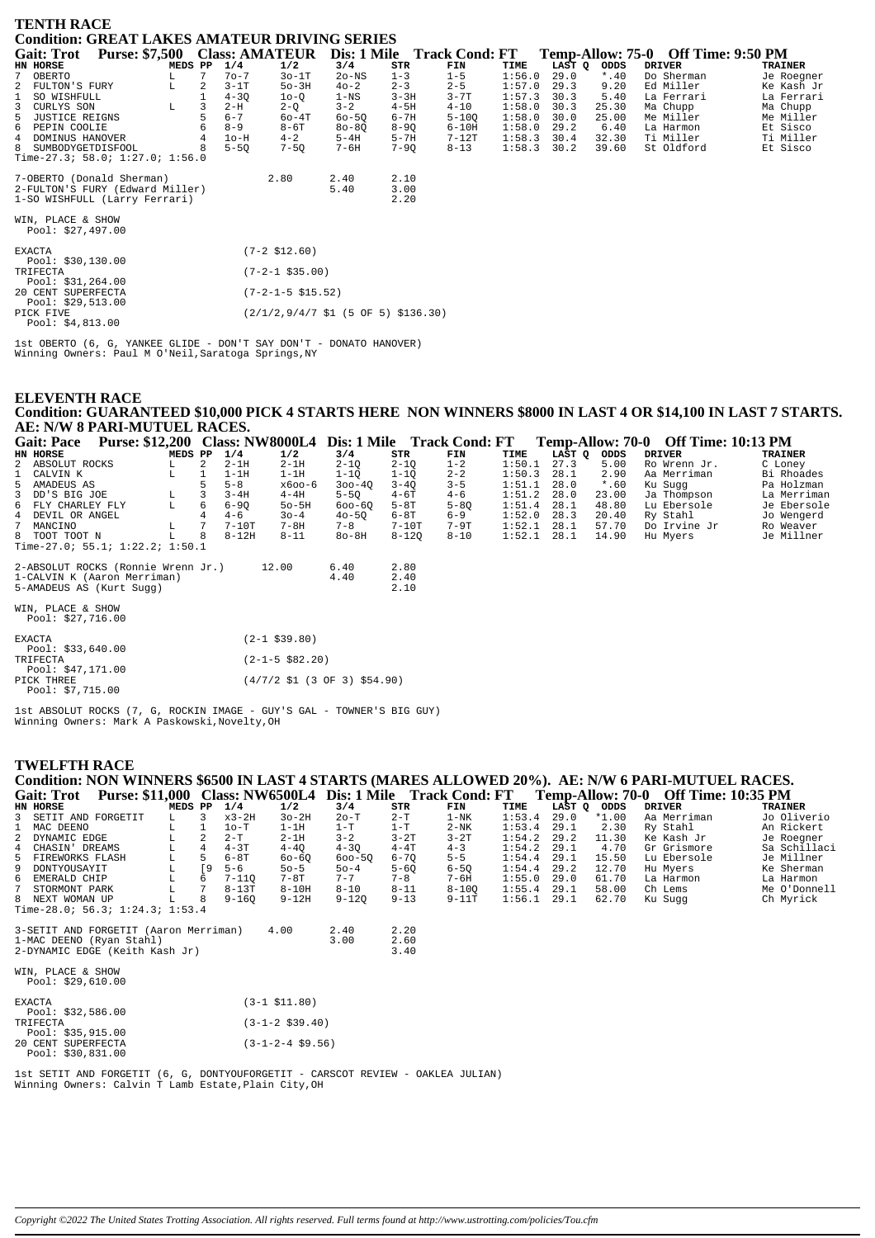| <b>TENTH RACE</b>                                                   |         |                |          |                                                                              |           |          |           |        |        |         |                                    |                |
|---------------------------------------------------------------------|---------|----------------|----------|------------------------------------------------------------------------------|-----------|----------|-----------|--------|--------|---------|------------------------------------|----------------|
| Condition: GREAT LAKES AMATEUR DRIVING SERIES                       |         |                |          |                                                                              |           |          |           |        |        |         |                                    |                |
| Gait: Trot Purse: \$7,500 Class: AMATEUR Dis: 1 Mile Track Cond: FT |         |                |          |                                                                              |           |          |           |        |        |         | Temp-Allow: 75-0 Off Time: 9:50 PM |                |
| <b>HN HORSE</b>                                                     | MEDS PP |                | 1/4      | 1/2                                                                          | 3/4       | STR      | FIN       | TIME   | LAST Q | ODDS    | <b>DRIVER</b>                      | <b>TRAINER</b> |
| 7<br>OBERTO                                                         | L.      | 7              | $70 - 7$ | $30-1T$                                                                      | $2o$ -NS  | $1 - 3$  | $1 - 5$   | 1:56.0 | 29.0   | $*$ .40 | Do Sherman                         | Je Roegner     |
| 2<br>FULTON'S FURY                                                  | L       | 2              | $3-1T$   | $50-3H$                                                                      | $40 - 2$  | $2 - 3$  | $2 - 5$   | 1:57.0 | 29.3   | 9.20    | Ed Miller                          | Ke Kash Jr     |
| SO WISHFULL                                                         |         | $\mathbf{1}$   | $4 - 30$ | $10-0$                                                                       | $1 - NS$  | $3 - 3H$ | $3 - 7T$  | 1:57.3 | 30.3   | 5.40    | La Ferrari                         | La Ferrari     |
| 3<br>CURLYS SON                                                     | L       |                | $2-H$    | $2-Q$                                                                        | $3 - 2$   | $4-5H$   | $4 - 10$  | 1:58.0 | 30.3   | 25.30   | Ma Chupp                           | Ma Chupp       |
| 5<br>JUSTICE REIGNS                                                 |         | 5              | $6 - 7$  | $60 - 4T$                                                                    | $60 - 50$ | $6 - 7H$ | $5 - 100$ | 1:58.0 | 30.0   | 25.00   | Me Miller                          | Me Miller      |
| 6 PEPIN COOLIE                                                      |         |                | $8 - 9$  | $8-6T$                                                                       | $80 - 80$ | $8 - 90$ | $6-10H$   | 1:58.0 | 29.2   | 6.40    | La Harmon                          | Et Sisco       |
| 4 DOMINUS HANOVER                                                   |         | $\overline{4}$ | $1o-H$   | $4 - 2$                                                                      | $5-4H$    | $5 - 7H$ | $7-12T$   | 1:58.3 | 30.4   | 32.30   | Ti Miller                          | Ti Miller      |
| SUMBODYGETDISFOOL<br>8                                              |         |                | $5 - 50$ | $7 - 50$                                                                     | $7 - 6H$  | $7 - 90$ | $8 - 13$  | 1:58.3 | 30.2   | 39.60   | St Oldford                         | Et Sisco       |
| Time-27.3; 58.0; 1:27.0; 1:56.0                                     |         |                |          |                                                                              |           |          |           |        |        |         |                                    |                |
| 7-OBERTO (Donald Sherman)                                           |         |                |          | 2.80                                                                         | 2.40      | 2.10     |           |        |        |         |                                    |                |
| 2-FULTON'S FURY (Edward Miller)                                     |         |                |          |                                                                              | 5.40      | 3.00     |           |        |        |         |                                    |                |
| 1-SO WISHFULL (Larry Ferrari)                                       |         |                |          |                                                                              |           | 2.20     |           |        |        |         |                                    |                |
| WIN, PLACE & SHOW                                                   |         |                |          |                                                                              |           |          |           |        |        |         |                                    |                |
| Pool: \$27,497.00                                                   |         |                |          |                                                                              |           |          |           |        |        |         |                                    |                |
| <b>EXACTA</b>                                                       |         |                |          | $(7-2 \; $12.60)$                                                            |           |          |           |        |        |         |                                    |                |
| Pool: \$30,130.00                                                   |         |                |          |                                                                              |           |          |           |        |        |         |                                    |                |
| TRIFECTA                                                            |         |                |          | $(7-2-1$ \$35.00)                                                            |           |          |           |        |        |         |                                    |                |
| Pool: $$31,264.00$                                                  |         |                |          |                                                                              |           |          |           |        |        |         |                                    |                |
| 20 CENT SUPERFECTA                                                  |         |                |          | $(7-2-1-5 \$15.52)$                                                          |           |          |           |        |        |         |                                    |                |
| Pool: \$29,513.00                                                   |         |                |          |                                                                              |           |          |           |        |        |         |                                    |                |
| PICK FIVE                                                           |         |                |          | $(2/1/2.9/4/7 \text{ }51 \text{ } (5 \text{ }0F \text{ }5) \text{ }5136.30)$ |           |          |           |        |        |         |                                    |                |
| Pool: \$4,813.00                                                    |         |                |          |                                                                              |           |          |           |        |        |         |                                    |                |

Ist OBERTO (6, G, YANKEE GLIDE - DON'T SAY DON'T - DONATO HANOVER)<br>Winning Owners: Paul M O'Neil, Saratoga Springs, NY

## **ELEVENTH RACE** Condition: GUARANTEED \$10,000 PICK 4 STARTS HERE NON WINNERS \$8000 IN LAST 4 OR \$14,100 IN LAST 7 STARTS. AE: N/W 8 PARI-MUTUEL RACES.

| <b>Purse: \$12,200 Class: NW8000L4</b><br><b>Gait: Pace</b> |         |   |          |                        | Dis: 1 Mile |           | Track Cond: FT |        |        |         | Temp-Allow: 70-0 Off Time: 10:13 PM |                |
|-------------------------------------------------------------|---------|---|----------|------------------------|-------------|-----------|----------------|--------|--------|---------|-------------------------------------|----------------|
| HN HORSE                                                    | MEDS PP |   | 1/4      | 1/2                    | 3/4         | STR       | FIN            | TIME   | LAST Q | ODDS    | <b>DRIVER</b>                       | <b>TRAINER</b> |
| 2 ABSOLUT ROCKS                                             | L.      | 2 | $2-1H$   | $2-1H$                 | $2 - 1Q$    | $2 - 10$  | $1 - 2$        | 1:50.1 | 27.3   | 5.00    | Ro Wrenn Jr.                        | C Loney        |
| 1 CALVIN K                                                  | г       |   | $1-1H$   | $1-1H$                 | $1 - 10$    | $1 - 10$  | $2 - 2$        | 1:50.3 | 28.1   | 2.90    | Aa Merriman                         | Bi Rhoades     |
| 5 AMADEUS AS                                                |         | 5 | $5 - 8$  | хбоо-б                 | $300 - 40$  | $3 - 40$  | $3 - 5$        | 1:51.1 | 28.0   | $*$ .60 | Ku Sugg                             | Pa Holzman     |
| 3 DD'S BIG JOE                                              | L       | 3 | $3 - 4H$ | $4-4H$                 | $5 - 50$    | $4-6T$    | $4 - 6$        | 1:51.2 | 28.0   | 23.00   | Ja Thompson                         | La Merriman    |
| 6 FLY CHARLEY FLY                                           | L       | 6 | $6 - 90$ | $50 - 5H$              | $600 - 60$  | $5-8T$    | $5 - 80$       | 1:51.4 | 28.1   | 48.80   | Lu Ebersole                         | Je Ebersole    |
| 4 DEVIL OR ANGEL                                            |         |   | $4 - 6$  | $30 - 4$               | $40 - 50$   | $6-8T$    | $6 - 9$        | 1:52.0 | 28.3   | 20.40   | Ry Stahl                            | Jo Wengerd     |
| 7 MANCINO                                                   | L       |   | $7-10T$  | $7 - 8H$               | $7 - 8$     | $7-10T$   | $7-9T$         | 1:52.1 | 28.1   | 57.70   | Do Irvine Jr                        | Ro Weaver      |
| 8 TOOT TOOT N                                               | L       | 8 | $8-12H$  | $8 - 11$               | $80-8H$     | $8 - 120$ | $8 - 10$       | 1:52.1 | 28.1   | 14.90   | Hu Myers                            | Je Millner     |
| Time-27.0; 55.1; $1:22.2$ ; $1:50.1$                        |         |   |          |                        |             |           |                |        |        |         |                                     |                |
| 2-ABSOLUT ROCKS (Ronnie Wrenn Jr.)                          |         |   |          | 12.00                  | 6.40        | 2.80      |                |        |        |         |                                     |                |
| 1-CALVIN K (Aaron Merriman)                                 |         |   |          |                        | 4.40        | 2.40      |                |        |        |         |                                     |                |
| 5-AMADEUS AS (Kurt Sugg)                                    |         |   |          |                        |             | 2.10      |                |        |        |         |                                     |                |
| WIN, PLACE & SHOW                                           |         |   |          |                        |             |           |                |        |        |         |                                     |                |
| Pool: $$27,716.00$                                          |         |   |          |                        |             |           |                |        |        |         |                                     |                |
| EXACTA                                                      |         |   |          | $(2-1$ \$39.80)        |             |           |                |        |        |         |                                     |                |
| Pool: $$33,640.00$                                          |         |   |          |                        |             |           |                |        |        |         |                                     |                |
| TRIFECTA                                                    |         |   |          | $(2 - 1 - 5 \ $82.20)$ |             |           |                |        |        |         |                                     |                |
| Pool: $$47,171.00$                                          |         |   |          |                        |             |           |                |        |        |         |                                     |                |

PICK THREE  $(4/7/2 \text{ } $1 \text{ } (3 \text{ } 0F \text{ } 3) \text{ } $54.90)$ Pool: \$7,715.00

1st ABSOLUT ROCKS (7, G, ROCKIN IMAGE - GUY'S GAL - TOWNER'S BIG GUY)<br>Winning Owners: Mark A Paskowski, Novelty, OH

### **TWELFTH RACE**

Condition: NON WINNERS \$6500 IN LAST 4 STARTS (MARES ALLOWED 20%). AE: N/W 6 PARI-MUTUEL RACES. Gait: Trot Purse: \$11,000 Class: NW6500L4 Dis: 1 Mile Track Cond: FT Temp-Allow: 70-0 Off Time: 10:35 PM

|                                                       | HN HORSE                                                                                                                                                    | MEDS PP |    | 1/4       | 1/2                | 3/4          | STR                  | FIN       | TIME   | LAST Q | ODDS    | <b>DRIVER</b> | <b>TRAINER</b> |
|-------------------------------------------------------|-------------------------------------------------------------------------------------------------------------------------------------------------------------|---------|----|-----------|--------------------|--------------|----------------------|-----------|--------|--------|---------|---------------|----------------|
|                                                       | 3 SETIT AND FORGETIT                                                                                                                                        | L       | 3  | $x3-2H$   | $3o-2H$            | $2o-T$       | $2-T$                | $1-NK$    | 1:53.4 | 29.0   | $*1.00$ | Aa Merriman   | Jo Oliverio    |
|                                                       | MAC DEENO                                                                                                                                                   |         |    | $1o-T$    | $1-1H$             | $1-T$        | $1-T$                | $2-NK$    | 1:53.4 | 29.1   | 2.30    | Ry Stahl      | An Rickert     |
| 2                                                     | DYNAMIC EDGE                                                                                                                                                |         |    | $2-T$     | $2-1H$             | $3 - 2$      | $3-2T$               | $3-2T$    | 1:54.2 | 29.2   | 11.30   | Ke Kash Jr    | Je Roegner     |
| 4                                                     | CHASIN' DREAMS                                                                                                                                              | L       | 4  | $4 - 3T$  | $4 - 40$           | $4 - 3Q$     | $4-4T$               | $4 - 3$   | 1:54.2 | 29.1   | 4.70    | Gr Grismore   | Sa Schillaci   |
| 5                                                     | FIREWORKS FLASH                                                                                                                                             | L       | 5  | $6 - 8T$  | 60-60              | $600 - 50$   | $6 - 70$             | $5 - 5$   | 1:54.4 | 29.1   | 15.50   | Lu Ebersole   | Je Millner     |
| 9                                                     | DONTYOUSAYIT                                                                                                                                                | L       | [9 | $5 - 6$   | $50 - 5$           | $50 - 4$     | $5 - 60$             | $6 - 50$  | 1:54.4 | 29.2   | 12.70   | Hu Myers      | Ke Sherman     |
| 6                                                     | EMERALD CHIP                                                                                                                                                | L       | 6  | $7 - 110$ | 7-8T               | $7 - 7$      | $7 - 8$              | 7-6H      | 1:55.0 | 29.0   | 61.70   | La Harmon     | La Harmon      |
|                                                       | STORMONT PARK                                                                                                                                               | L       |    | $8-13T$   | $8-10H$            | $8 - 10$     | $8 - 11$             | $8 - 100$ | 1:55.4 | 29.1   | 58.00   | Ch Lems       | Me O'Donnell   |
|                                                       | 8 NEXT WOMAN UP                                                                                                                                             |         | 8  | $9 - 160$ | $9 - 12H$          | $9 - 120$    | $9 - 13$             | $9 - 11T$ | 1:56.1 | 29.1   | 62.70   | Ku Sugg       | Ch Myrick      |
|                                                       | Time-28.0; 56.3; 1:24.3; 1:53.4<br>3-SETIT AND FORGETIT (Aaron Merriman)<br>1-MAC DEENO (Ryan Stahl)<br>2-DYNAMIC EDGE (Keith Kash Jr)<br>WIN, PLACE & SHOW |         |    |           | 4.00               | 2.40<br>3.00 | 2.20<br>2.60<br>3.40 |           |        |        |         |               |                |
|                                                       | Pool: $$29,610.00$                                                                                                                                          |         |    |           |                    |              |                      |           |        |        |         |               |                |
|                                                       | <b>EXACTA</b><br>Pool: $$32,586.00$                                                                                                                         |         |    |           | $(3-1$ \$11.80)    |              |                      |           |        |        |         |               |                |
| $(3-1-2 \; $39.40)$<br>TRIFECTA<br>Pool: $$35,915.00$ |                                                                                                                                                             |         |    |           |                    |              |                      |           |        |        |         |               |                |
|                                                       | 20 CENT SUPERFECTA<br>Pool: $$30,831.00$                                                                                                                    |         |    |           | $(3-1-2-4$ \$9.56) |              |                      |           |        |        |         |               |                |

 ${\tt Ist}$  SETIT AND FORGETIT (6, G, DONTYOUFORGETIT - CARSCOT REVIEW - OAKLEA JULIAN) Winning Owners: Calvin T Lamb Estate, Plain City, OH